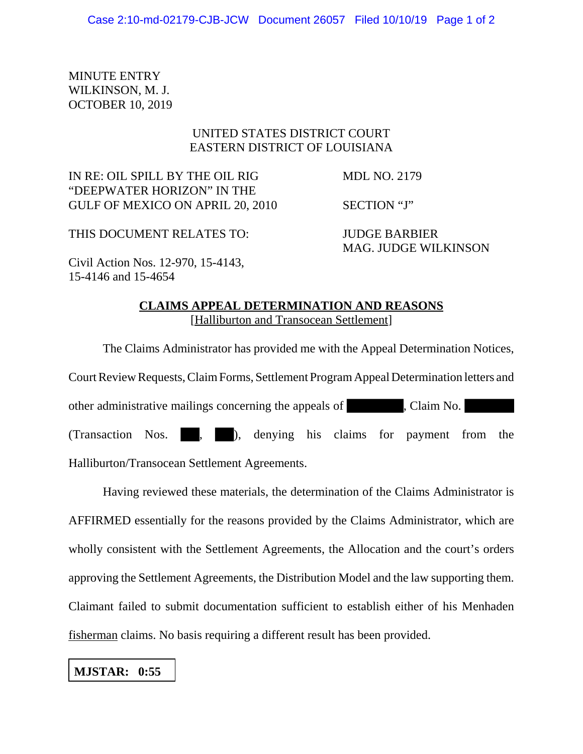MINUTE ENTRY WILKINSON, M. J. OCTOBER 10, 2019

## UNITED STATES DISTRICT COURT EASTERN DISTRICT OF LOUISIANA

IN RE: OIL SPILL BY THE OIL RIG MDL NO. 2179 "DEEPWATER HORIZON" IN THE GULF OF MEXICO ON APRIL 20, 2010 SECTION "J"

THIS DOCUMENT RELATES TO: JUDGE BARBIER

MAG. JUDGE WILKINSON

Civil Action Nos. 12-970, 15-4143, 15-4146 and 15-4654

## **CLAIMS APPEAL DETERMINATION AND REASONS** [Halliburton and Transocean Settlement]

The Claims Administrator has provided me with the Appeal Determination Notices, Court Review Requests, Claim Forms, Settlement Program Appeal Determination letters and other administrative mailings concerning the appeals of , Claim No. (Transaction Nos. , ), denying his claims for payment from the Halliburton/Transocean Settlement Agreements.

Having reviewed these materials, the determination of the Claims Administrator is AFFIRMED essentially for the reasons provided by the Claims Administrator, which are wholly consistent with the Settlement Agreements, the Allocation and the court's orders approving the Settlement Agreements, the Distribution Model and the law supporting them. Claimant failed to submit documentation sufficient to establish either of his Menhaden fisherman claims. No basis requiring a different result has been provided.

## **MJSTAR: 0:55**